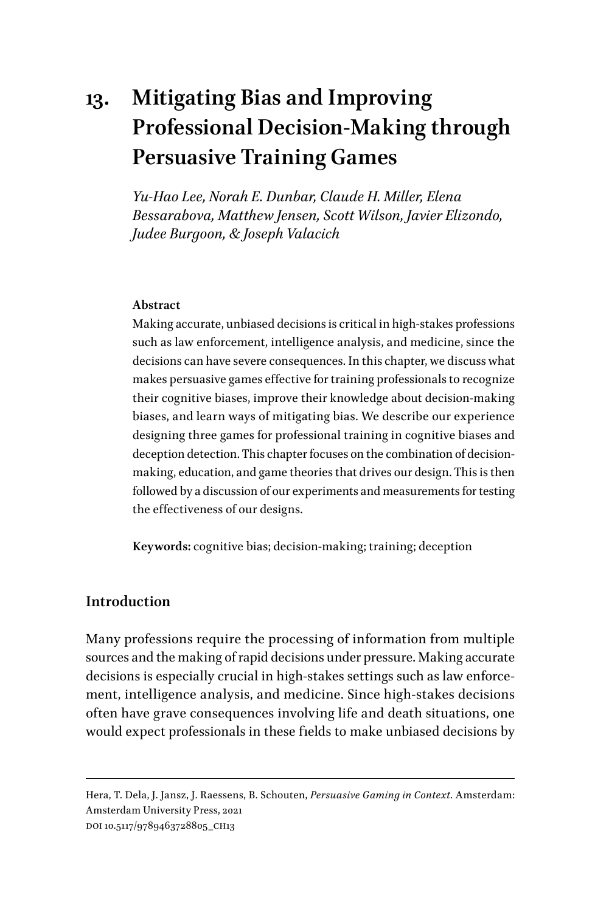# **13. Mitigating Bias and Improving Professional Decision-Making through Persuasive Training Games**

*Yu-Hao Lee, Norah E. Dunbar, Claude H. Miller, Elena Bessarabova, Matthew Jensen, Scott Wilson, Javier Elizondo, Judee Burgoon, & Joseph Valacich*

## **Abstract**

Making accurate, unbiased decisions is critical in high-stakes professions such as law enforcement, intelligence analysis, and medicine, since the decisions can have severe consequences. In this chapter, we discuss what makes persuasive games effective for training professionals to recognize their cognitive biases, improve their knowledge about decision-making biases, and learn ways of mitigating bias. We describe our experience designing three games for professional training in cognitive biases and deception detection. This chapter focuses on the combination of decisionmaking, education, and game theories that drives our design. This is then followed by a discussion of our experiments and measurements for testing the effectiveness of our designs.

**Keywords:** cognitive bias; decision-making; training; deception

## **Introduction**

Many professions require the processing of information from multiple sources and the making of rapid decisions under pressure. Making accurate decisions is especially crucial in high-stakes settings such as law enforcement, intelligence analysis, and medicine. Since high-stakes decisions often have grave consequences involving life and death situations, one would expect professionals in these fields to make unbiased decisions by

Hera, T. Dela, J. Jansz, J. Raessens, B. Schouten, *Persuasive Gaming in Context*. Amsterdam: Amsterdam University Press, 2021 DOI 10.5117/9789463728805\_CH13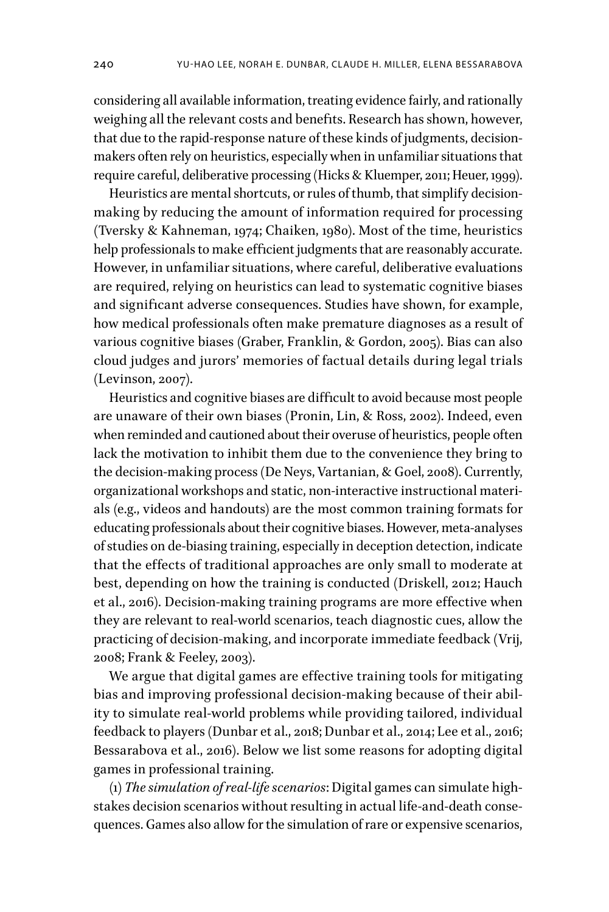considering all available information, treating evidence fairly, and rationally weighing all the relevant costs and benefits. Research has shown, however, that due to the rapid-response nature of these kinds of judgments, decisionmakers often rely on heuristics, especially when in unfamiliar situations that require careful, deliberative processing (Hicks & Kluemper, 2011; Heuer, 1999).

Heuristics are mental shortcuts, or rules of thumb, that simplify decisionmaking by reducing the amount of information required for processing (Tversky & Kahneman, 1974; Chaiken, 1980). Most of the time, heuristics help professionals to make efficient judgments that are reasonably accurate. However, in unfamiliar situations, where careful, deliberative evaluations are required, relying on heuristics can lead to systematic cognitive biases and significant adverse consequences. Studies have shown, for example, how medical professionals often make premature diagnoses as a result of various cognitive biases (Graber, Franklin, & Gordon, 2005). Bias can also cloud judges and jurors' memories of factual details during legal trials (Levinson, 2007).

Heuristics and cognitive biases are difficult to avoid because most people are unaware of their own biases (Pronin, Lin, & Ross, 2002). Indeed, even when reminded and cautioned about their overuse of heuristics, people often lack the motivation to inhibit them due to the convenience they bring to the decision-making process (De Neys, Vartanian, & Goel, 2008). Currently, organizational workshops and static, non-interactive instructional materials (e.g., videos and handouts) are the most common training formats for educating professionals about their cognitive biases. However, meta-analyses of studies on de-biasing training, especially in deception detection, indicate that the effects of traditional approaches are only small to moderate at best, depending on how the training is conducted (Driskell, 2012; Hauch et al., 2016). Decision-making training programs are more effective when they are relevant to real-world scenarios, teach diagnostic cues, allow the practicing of decision-making, and incorporate immediate feedback (Vrij, 2008; Frank & Feeley, 2003).

We argue that digital games are effective training tools for mitigating bias and improving professional decision-making because of their ability to simulate real-world problems while providing tailored, individual feedback to players (Dunbar et al., 2018; Dunbar et al., 2014; Lee et al., 2016; Bessarabova et al., 2016). Below we list some reasons for adopting digital games in professional training.

(1) *The simulation of real-life scenarios*: Digital games can simulate highstakes decision scenarios without resulting in actual life-and-death consequences. Games also allow for the simulation of rare or expensive scenarios,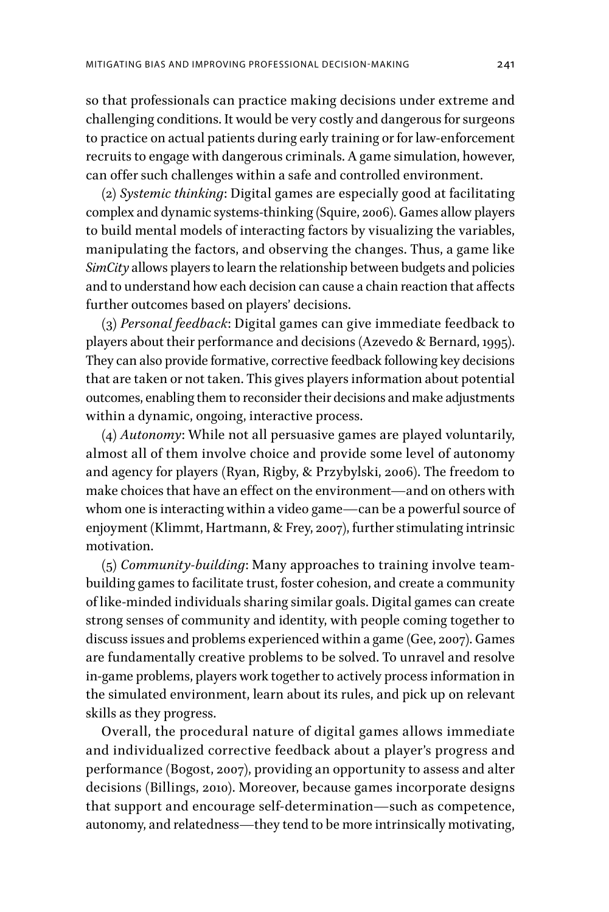so that professionals can practice making decisions under extreme and challenging conditions. It would be very costly and dangerous for surgeons to practice on actual patients during early training or for law-enforcement recruits to engage with dangerous criminals. A game simulation, however, can offer such challenges within a safe and controlled environment.

(2) *Systemic thinking*: Digital games are especially good at facilitating complex and dynamic systems-thinking (Squire, 2006). Games allow players to build mental models of interacting factors by visualizing the variables, manipulating the factors, and observing the changes. Thus, a game like *SimCity* allows players to learn the relationship between budgets and policies and to understand how each decision can cause a chain reaction that affects further outcomes based on players' decisions.

(3) *Personal feedback*: Digital games can give immediate feedback to players about their performance and decisions (Azevedo & Bernard, 1995). They can also provide formative, corrective feedback following key decisions that are taken or not taken. This gives players information about potential outcomes, enabling them to reconsider their decisions and make adjustments within a dynamic, ongoing, interactive process.

(4) *Autonomy*: While not all persuasive games are played voluntarily, almost all of them involve choice and provide some level of autonomy and agency for players (Ryan, Rigby, & Przybylski, 2006). The freedom to make choices that have an effect on the environment—and on others with whom one is interacting within a video game—can be a powerful source of enjoyment (Klimmt, Hartmann, & Frey, 2007), further stimulating intrinsic motivation.

(5) *Community-building*: Many approaches to training involve teambuilding games to facilitate trust, foster cohesion, and create a community of like-minded individuals sharing similar goals. Digital games can create strong senses of community and identity, with people coming together to discuss issues and problems experienced within a game (Gee, 2007). Games are fundamentally creative problems to be solved. To unravel and resolve in-game problems, players work together to actively process information in the simulated environment, learn about its rules, and pick up on relevant skills as they progress.

Overall, the procedural nature of digital games allows immediate and individualized corrective feedback about a player's progress and performance (Bogost, 2007), providing an opportunity to assess and alter decisions (Billings, 2010). Moreover, because games incorporate designs that support and encourage self-determination—such as competence, autonomy, and relatedness—they tend to be more intrinsically motivating,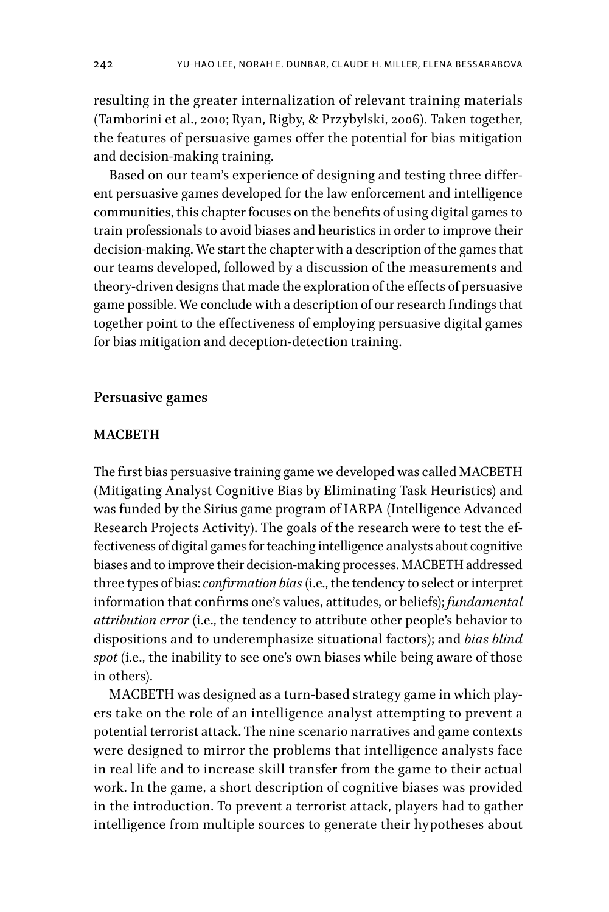resulting in the greater internalization of relevant training materials (Tamborini et al., 2010; Ryan, Rigby, & Przybylski, 2006). Taken together, the features of persuasive games offer the potential for bias mitigation and decision-making training.

Based on our team's experience of designing and testing three different persuasive games developed for the law enforcement and intelligence communities, this chapter focuses on the benefits of using digital games to train professionals to avoid biases and heuristics in order to improve their decision-making. We start the chapter with a description of the games that our teams developed, followed by a discussion of the measurements and theory-driven designs that made the exploration of the effects of persuasive game possible. We conclude with a description of our research findings that together point to the effectiveness of employing persuasive digital games for bias mitigation and deception-detection training.

## **Persuasive games**

## **MACBETH**

The first bias persuasive training game we developed was called MACBETH (Mitigating Analyst Cognitive Bias by Eliminating Task Heuristics) and was funded by the Sirius game program of IARPA (Intelligence Advanced Research Projects Activity). The goals of the research were to test the effectiveness of digital games for teaching intelligence analysts about cognitive biases and to improve their decision-making processes. MACBETH addressed three types of bias: *confirmation bias* (i.e., the tendency to select or interpret information that confirms one's values, attitudes, or beliefs); *fundamental attribution error* (i.e., the tendency to attribute other people's behavior to dispositions and to underemphasize situational factors); and *bias blind spot* (i.e., the inability to see one's own biases while being aware of those in others).

MACBETH was designed as a turn-based strategy game in which players take on the role of an intelligence analyst attempting to prevent a potential terrorist attack. The nine scenario narratives and game contexts were designed to mirror the problems that intelligence analysts face in real life and to increase skill transfer from the game to their actual work. In the game, a short description of cognitive biases was provided in the introduction. To prevent a terrorist attack, players had to gather intelligence from multiple sources to generate their hypotheses about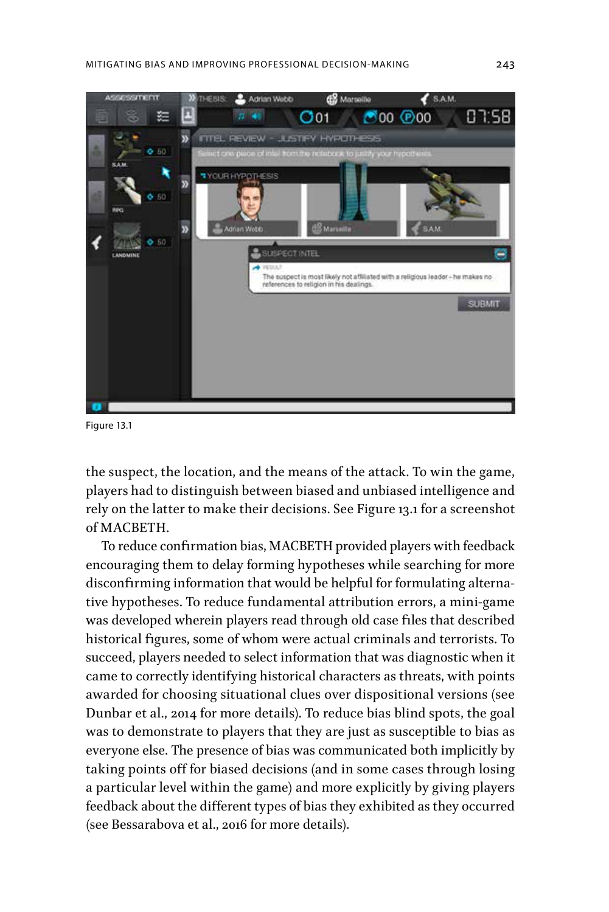

Figure 13.1

the suspect, the location, and the means of the attack. To win the game, players had to distinguish between biased and unbiased intelligence and rely on the latter to make their decisions. See Figure 13.1 for a screenshot of MACBETH.

To reduce confirmation bias, MACBETH provided players with feedback encouraging them to delay forming hypotheses while searching for more disconfirming information that would be helpful for formulating alternative hypotheses. To reduce fundamental attribution errors, a mini-game was developed wherein players read through old case files that described historical figures, some of whom were actual criminals and terrorists. To succeed, players needed to select information that was diagnostic when it came to correctly identifying historical characters as threats, with points awarded for choosing situational clues over dispositional versions (see Dunbar et al., 2014 for more details). To reduce bias blind spots, the goal was to demonstrate to players that they are just as susceptible to bias as everyone else. The presence of bias was communicated both implicitly by taking points off for biased decisions (and in some cases through losing a particular level within the game) and more explicitly by giving players feedback about the different types of bias they exhibited as they occurred (see Bessarabova et al., 2016 for more details).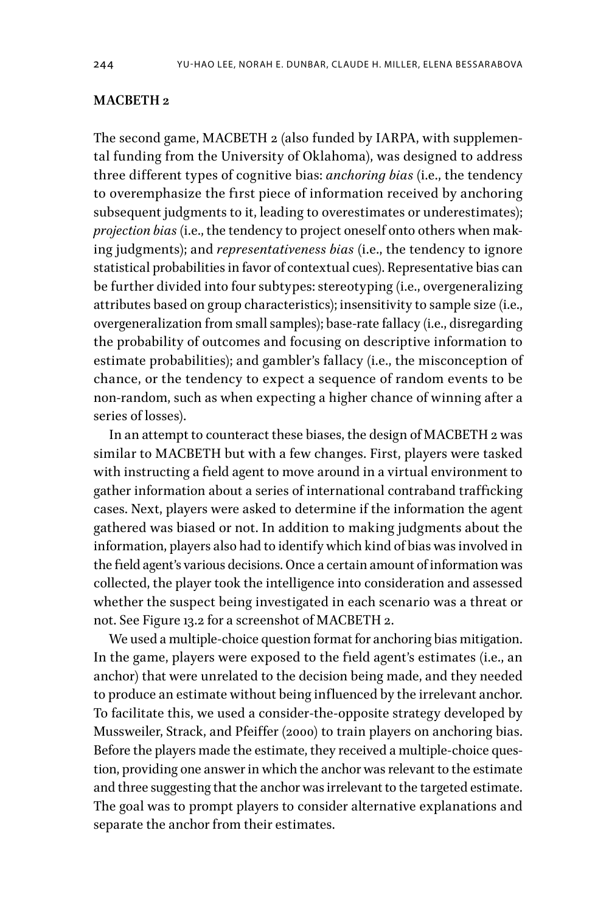## **MACBETH 2**

The second game, MACBETH 2 (also funded by IARPA, with supplemental funding from the University of Oklahoma), was designed to address three different types of cognitive bias: *anchoring bias* (i.e., the tendency to overemphasize the first piece of information received by anchoring subsequent judgments to it, leading to overestimates or underestimates); *projection bias* (i.e., the tendency to project oneself onto others when making judgments); and *representativeness bias* (i.e., the tendency to ignore statistical probabilities in favor of contextual cues). Representative bias can be further divided into four subtypes: stereotyping (i.e., overgeneralizing attributes based on group characteristics); insensitivity to sample size (i.e., overgeneralization from small samples); base-rate fallacy (i.e., disregarding the probability of outcomes and focusing on descriptive information to estimate probabilities); and gambler's fallacy (i.e., the misconception of chance, or the tendency to expect a sequence of random events to be non-random, such as when expecting a higher chance of winning after a series of losses).

In an attempt to counteract these biases, the design of MACBETH 2 was similar to MACBETH but with a few changes. First, players were tasked with instructing a field agent to move around in a virtual environment to gather information about a series of international contraband trafficking cases. Next, players were asked to determine if the information the agent gathered was biased or not. In addition to making judgments about the information, players also had to identify which kind of bias was involved in the field agent's various decisions. Once a certain amount of information was collected, the player took the intelligence into consideration and assessed whether the suspect being investigated in each scenario was a threat or not. See Figure 13.2 for a screenshot of MACBETH 2.

We used a multiple-choice question format for anchoring bias mitigation. In the game, players were exposed to the field agent's estimates (i.e., an anchor) that were unrelated to the decision being made, and they needed to produce an estimate without being influenced by the irrelevant anchor. To facilitate this, we used a consider-the-opposite strategy developed by Mussweiler, Strack, and Pfeiffer (2000) to train players on anchoring bias. Before the players made the estimate, they received a multiple-choice question, providing one answer in which the anchor was relevant to the estimate and three suggesting that the anchor was irrelevant to the targeted estimate. The goal was to prompt players to consider alternative explanations and separate the anchor from their estimates.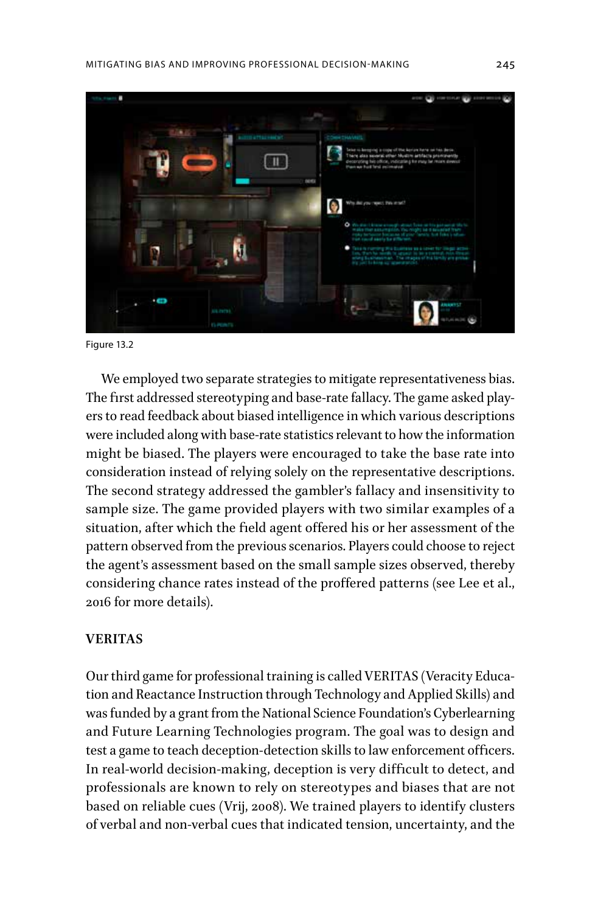

Figure 13.2

We employed two separate strategies to mitigate representativeness bias. The first addressed stereotyping and base-rate fallacy. The game asked players to read feedback about biased intelligence in which various descriptions were included along with base-rate statistics relevant to how the information might be biased. The players were encouraged to take the base rate into consideration instead of relying solely on the representative descriptions. The second strategy addressed the gambler's fallacy and insensitivity to sample size. The game provided players with two similar examples of a situation, after which the field agent offered his or her assessment of the pattern observed from the previous scenarios. Players could choose to reject the agent's assessment based on the small sample sizes observed, thereby considering chance rates instead of the proffered patterns (see Lee et al., 2016 for more details).

#### **VERITAS**

Our third game for professional training is called VERITAS (Veracity Education and Reactance Instruction through Technology and Applied Skills) and was funded by a grant from the National Science Foundation's Cyberlearning and Future Learning Technologies program. The goal was to design and test a game to teach deception-detection skills to law enforcement officers. In real-world decision-making, deception is very difficult to detect, and professionals are known to rely on stereotypes and biases that are not based on reliable cues (Vrij, 2008). We trained players to identify clusters of verbal and non-verbal cues that indicated tension, uncertainty, and the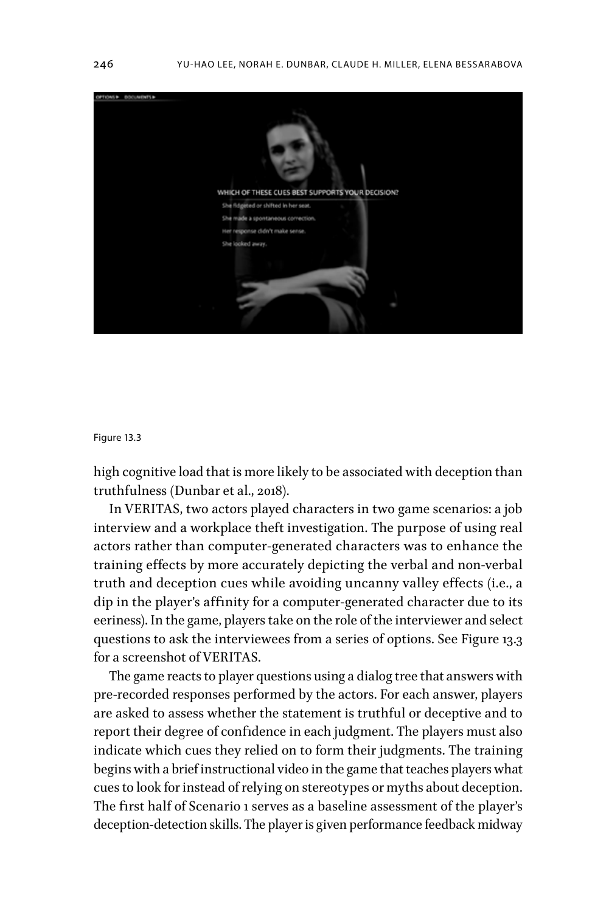

#### Figure 13.3

high cognitive load that is more likely to be associated with deception than truthfulness (Dunbar et al., 2018).

In VERITAS, two actors played characters in two game scenarios: a job interview and a workplace theft investigation. The purpose of using real actors rather than computer-generated characters was to enhance the training effects by more accurately depicting the verbal and non-verbal truth and deception cues while avoiding uncanny valley effects (i.e., a dip in the player's affinity for a computer-generated character due to its eeriness). In the game, players take on the role of the interviewer and select questions to ask the interviewees from a series of options. See Figure 13.3 for a screenshot of VERITAS.

The game reacts to player questions using a dialog tree that answers with pre-recorded responses performed by the actors. For each answer, players are asked to assess whether the statement is truthful or deceptive and to report their degree of confidence in each judgment. The players must also indicate which cues they relied on to form their judgments. The training begins with a brief instructional video in the game that teaches players what cues to look for instead of relying on stereotypes or myths about deception. The first half of Scenario 1 serves as a baseline assessment of the player's deception-detection skills. The player is given performance feedback midway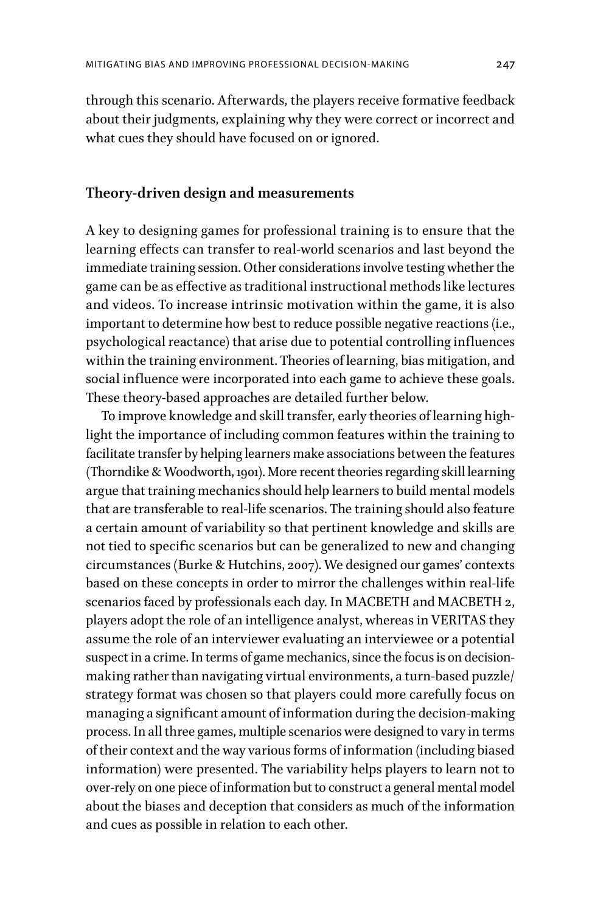through this scenario. Afterwards, the players receive formative feedback about their judgments, explaining why they were correct or incorrect and what cues they should have focused on or ignored.

## **Theory-driven design and measurements**

A key to designing games for professional training is to ensure that the learning effects can transfer to real-world scenarios and last beyond the immediate training session. Other considerations involve testing whether the game can be as effective as traditional instructional methods like lectures and videos. To increase intrinsic motivation within the game, it is also important to determine how best to reduce possible negative reactions (i.e., psychological reactance) that arise due to potential controlling influences within the training environment. Theories of learning, bias mitigation, and social influence were incorporated into each game to achieve these goals. These theory-based approaches are detailed further below.

To improve knowledge and skill transfer, early theories of learning highlight the importance of including common features within the training to facilitate transfer by helping learners make associations between the features (Thorndike & Woodworth, 1901). More recent theories regarding skill learning argue that training mechanics should help learners to build mental models that are transferable to real-life scenarios. The training should also feature a certain amount of variability so that pertinent knowledge and skills are not tied to specific scenarios but can be generalized to new and changing circumstances (Burke & Hutchins, 2007). We designed our games' contexts based on these concepts in order to mirror the challenges within real-life scenarios faced by professionals each day. In MACBETH and MACBETH 2, players adopt the role of an intelligence analyst, whereas in VERITAS they assume the role of an interviewer evaluating an interviewee or a potential suspect in a crime. In terms of game mechanics, since the focus is on decisionmaking rather than navigating virtual environments, a turn-based puzzle/ strategy format was chosen so that players could more carefully focus on managing a significant amount of information during the decision-making process. In all three games, multiple scenarios were designed to vary in terms of their context and the way various forms of information (including biased information) were presented. The variability helps players to learn not to over-rely on one piece of information but to construct a general mental model about the biases and deception that considers as much of the information and cues as possible in relation to each other.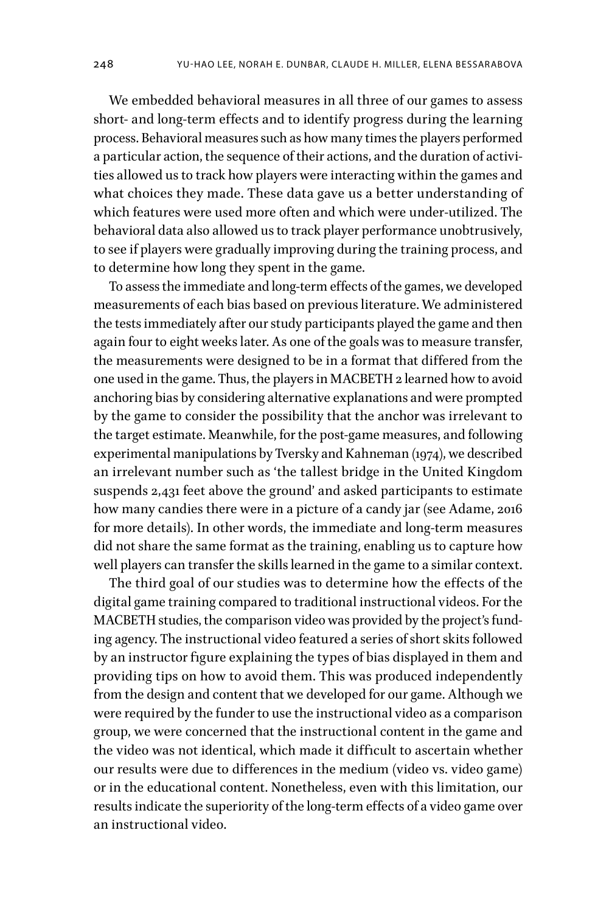We embedded behavioral measures in all three of our games to assess short- and long-term effects and to identify progress during the learning process. Behavioral measures such as how many times the players performed a particular action, the sequence of their actions, and the duration of activities allowed us to track how players were interacting within the games and what choices they made. These data gave us a better understanding of which features were used more often and which were under-utilized. The behavioral data also allowed us to track player performance unobtrusively, to see if players were gradually improving during the training process, and to determine how long they spent in the game.

To assess the immediate and long-term effects of the games, we developed measurements of each bias based on previous literature. We administered the tests immediately after our study participants played the game and then again four to eight weeks later. As one of the goals was to measure transfer, the measurements were designed to be in a format that differed from the one used in the game. Thus, the players in MACBETH 2 learned how to avoid anchoring bias by considering alternative explanations and were prompted by the game to consider the possibility that the anchor was irrelevant to the target estimate. Meanwhile, for the post-game measures, and following experimental manipulations by Tversky and Kahneman (1974), we described an irrelevant number such as 'the tallest bridge in the United Kingdom suspends 2,431 feet above the ground' and asked participants to estimate how many candies there were in a picture of a candy jar (see Adame, 2016 for more details). In other words, the immediate and long-term measures did not share the same format as the training, enabling us to capture how well players can transfer the skills learned in the game to a similar context.

The third goal of our studies was to determine how the effects of the digital game training compared to traditional instructional videos. For the MACBETH studies, the comparison video was provided by the project's funding agency. The instructional video featured a series of short skits followed by an instructor figure explaining the types of bias displayed in them and providing tips on how to avoid them. This was produced independently from the design and content that we developed for our game. Although we were required by the funder to use the instructional video as a comparison group, we were concerned that the instructional content in the game and the video was not identical, which made it difficult to ascertain whether our results were due to differences in the medium (video vs. video game) or in the educational content. Nonetheless, even with this limitation, our results indicate the superiority of the long-term effects of a video game over an instructional video.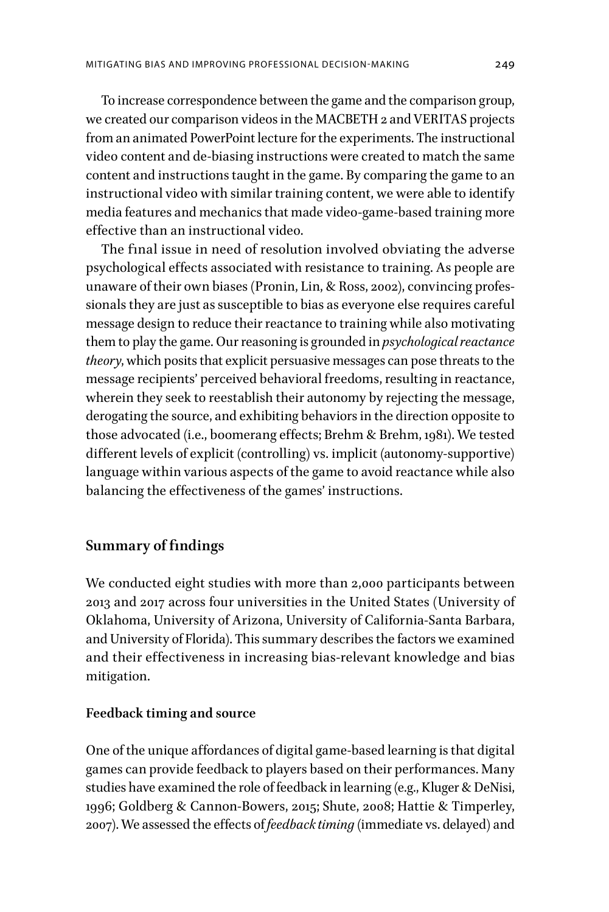To increase correspondence between the game and the comparison group, we created our comparison videos in the MACBETH 2 and VERITAS projects from an animated PowerPoint lecture for the experiments. The instructional video content and de-biasing instructions were created to match the same content and instructions taught in the game. By comparing the game to an instructional video with similar training content, we were able to identify media features and mechanics that made video-game-based training more effective than an instructional video.

The final issue in need of resolution involved obviating the adverse psychological effects associated with resistance to training. As people are unaware of their own biases (Pronin, Lin, & Ross, 2002), convincing professionals they are just as susceptible to bias as everyone else requires careful message design to reduce their reactance to training while also motivating them to play the game. Our reasoning is grounded in *psychological reactance theory*, which posits that explicit persuasive messages can pose threats to the message recipients' perceived behavioral freedoms, resulting in reactance, wherein they seek to reestablish their autonomy by rejecting the message, derogating the source, and exhibiting behaviors in the direction opposite to those advocated (i.e., boomerang effects; Brehm & Brehm, 1981). We tested different levels of explicit (controlling) vs. implicit (autonomy-supportive) language within various aspects of the game to avoid reactance while also balancing the effectiveness of the games' instructions.

## **Summary of findings**

We conducted eight studies with more than 2,000 participants between 2013 and 2017 across four universities in the United States (University of Oklahoma, University of Arizona, University of California-Santa Barbara, and University of Florida). This summary describes the factors we examined and their effectiveness in increasing bias-relevant knowledge and bias mitigation.

## **Feedback timing and source**

One of the unique affordances of digital game-based learning is that digital games can provide feedback to players based on their performances. Many studies have examined the role of feedback in learning (e.g., Kluger & DeNisi, 1996; Goldberg & Cannon-Bowers, 2015; Shute, 2008; Hattie & Timperley, 2007). We assessed the effects of *feedback timing* (immediate vs. delayed) and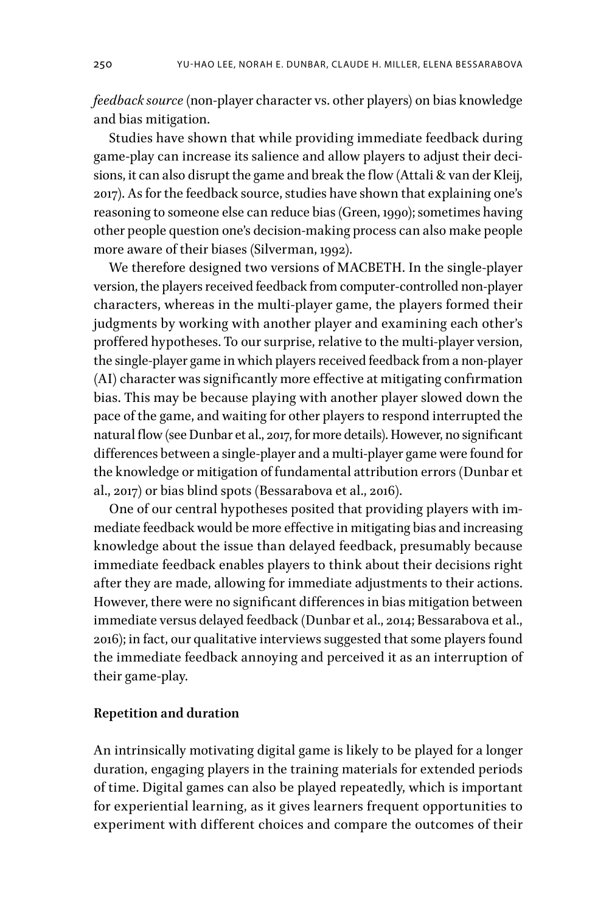*feedback source* (non-player character vs. other players) on bias knowledge and bias mitigation.

Studies have shown that while providing immediate feedback during game-play can increase its salience and allow players to adjust their decisions, it can also disrupt the game and break the flow (Attali & van der Kleij, 2017). As for the feedback source, studies have shown that explaining one's reasoning to someone else can reduce bias (Green, 1990); sometimes having other people question one's decision-making process can also make people more aware of their biases (Silverman, 1992).

We therefore designed two versions of MACBETH. In the single-player version, the players received feedback from computer-controlled non-player characters, whereas in the multi-player game, the players formed their judgments by working with another player and examining each other's proffered hypotheses. To our surprise, relative to the multi-player version, the single-player game in which players received feedback from a non-player (AI) character was significantly more effective at mitigating confirmation bias. This may be because playing with another player slowed down the pace of the game, and waiting for other players to respond interrupted the natural flow (see Dunbar et al., 2017, for more details). However, no significant differences between a single-player and a multi-player game were found for the knowledge or mitigation of fundamental attribution errors (Dunbar et al., 2017) or bias blind spots (Bessarabova et al., 2016).

One of our central hypotheses posited that providing players with immediate feedback would be more effective in mitigating bias and increasing knowledge about the issue than delayed feedback, presumably because immediate feedback enables players to think about their decisions right after they are made, allowing for immediate adjustments to their actions. However, there were no significant differences in bias mitigation between immediate versus delayed feedback (Dunbar et al., 2014; Bessarabova et al., 2016); in fact, our qualitative interviews suggested that some players found the immediate feedback annoying and perceived it as an interruption of their game-play.

## **Repetition and duration**

An intrinsically motivating digital game is likely to be played for a longer duration, engaging players in the training materials for extended periods of time. Digital games can also be played repeatedly, which is important for experiential learning, as it gives learners frequent opportunities to experiment with different choices and compare the outcomes of their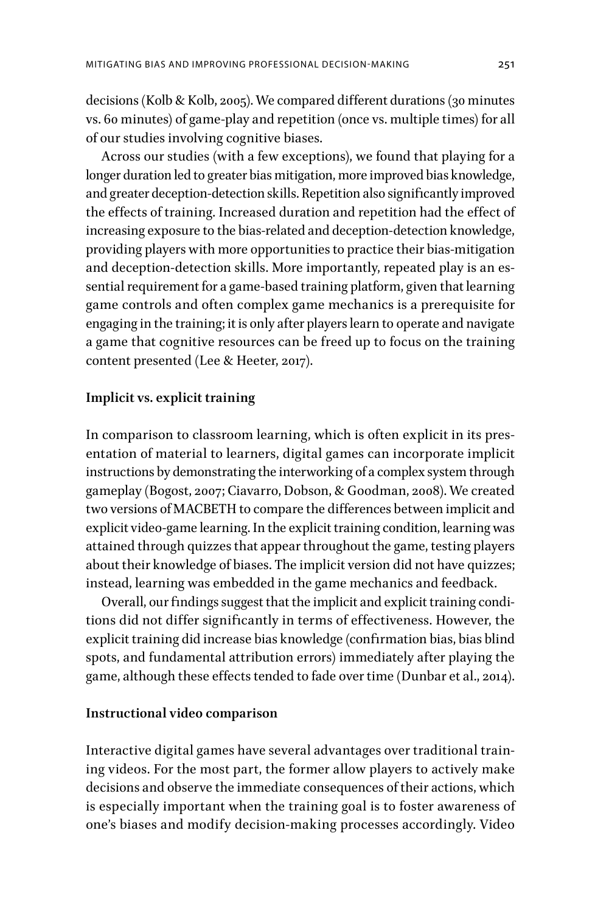decisions (Kolb & Kolb, 2005). We compared different durations (30 minutes vs. 60 minutes) of game-play and repetition (once vs. multiple times) for all of our studies involving cognitive biases.

Across our studies (with a few exceptions), we found that playing for a longer duration led to greater bias mitigation, more improved bias knowledge, and greater deception-detection skills. Repetition also significantly improved the effects of training. Increased duration and repetition had the effect of increasing exposure to the bias-related and deception-detection knowledge, providing players with more opportunities to practice their bias-mitigation and deception-detection skills. More importantly, repeated play is an essential requirement for a game-based training platform, given that learning game controls and often complex game mechanics is a prerequisite for engaging in the training; it is only after players learn to operate and navigate a game that cognitive resources can be freed up to focus on the training content presented (Lee & Heeter, 2017).

## **Implicit vs. explicit training**

In comparison to classroom learning, which is often explicit in its presentation of material to learners, digital games can incorporate implicit instructions by demonstrating the interworking of a complex system through gameplay (Bogost, 2007; Ciavarro, Dobson, & Goodman, 2008). We created two versions of MACBETH to compare the differences between implicit and explicit video-game learning. In the explicit training condition, learning was attained through quizzes that appear throughout the game, testing players about their knowledge of biases. The implicit version did not have quizzes; instead, learning was embedded in the game mechanics and feedback.

Overall, our findings suggest that the implicit and explicit training conditions did not differ significantly in terms of effectiveness. However, the explicit training did increase bias knowledge (confirmation bias, bias blind spots, and fundamental attribution errors) immediately after playing the game, although these effects tended to fade over time (Dunbar et al., 2014).

## **Instructional video comparison**

Interactive digital games have several advantages over traditional training videos. For the most part, the former allow players to actively make decisions and observe the immediate consequences of their actions, which is especially important when the training goal is to foster awareness of one's biases and modify decision-making processes accordingly. Video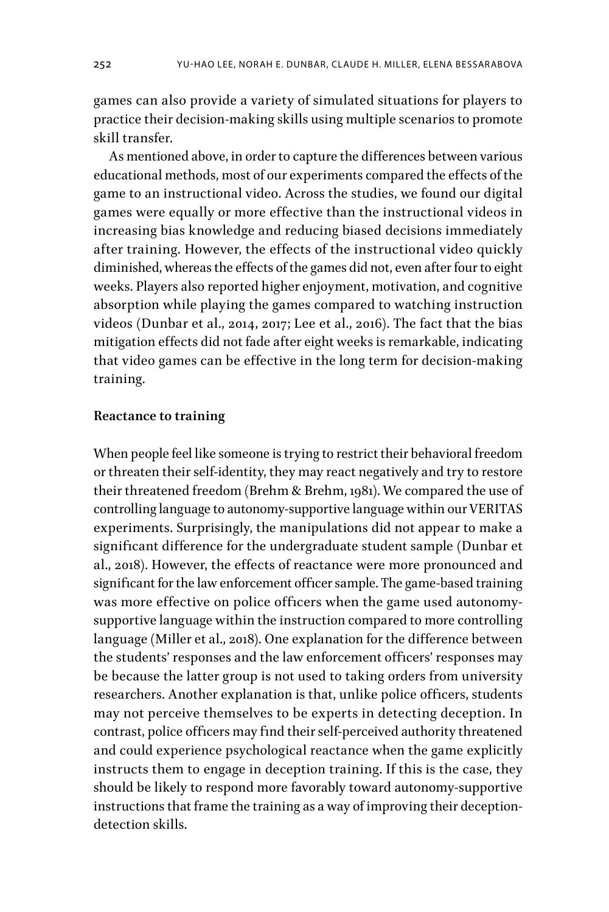games can also provide a variety of simulated situations for players to practice their decision-making skills using multiple scenarios to promote skill transfer.

As mentioned above, in order to capture the differences between various educational methods, most of our experiments compared the effects of the game to an instructional video. Across the studies, we found our digital games were equally or more effective than the instructional videos in increasing bias knowledge and reducing biased decisions immediately after training. However, the effects of the instructional video quickly diminished, whereas the effects of the games did not, even after four to eight weeks. Players also reported higher enjoyment, motivation, and cognitive absorption while playing the games compared to watching instruction videos (Dunbar et al., 2014, 2017; Lee et al., 2016). The fact that the bias mitigation effects did not fade after eight weeks is remarkable, indicating that video games can be effective in the long term for decision-making training.

## **Reactance to training**

When people feel like someone is trying to restrict their behavioral freedom or threaten their self-identity, they may react negatively and try to restore their threatened freedom (Brehm & Brehm, 1981). We compared the use of controlling language to autonomy-supportive language within our VERITAS experiments. Surprisingly, the manipulations did not appear to make a significant difference for the undergraduate student sample (Dunbar et al., 2018). However, the effects of reactance were more pronounced and significant for the law enforcement officer sample. The game-based training was more effective on police officers when the game used autonomysupportive language within the instruction compared to more controlling language (Miller et al., 2018). One explanation for the difference between the students' responses and the law enforcement officers' responses may be because the latter group is not used to taking orders from university researchers. Another explanation is that, unlike police officers, students may not perceive themselves to be experts in detecting deception. In contrast, police officers may find their self-perceived authority threatened and could experience psychological reactance when the game explicitly instructs them to engage in deception training. If this is the case, they should be likely to respond more favorably toward autonomy-supportive instructions that frame the training as a way of improving their deceptiondetection skills.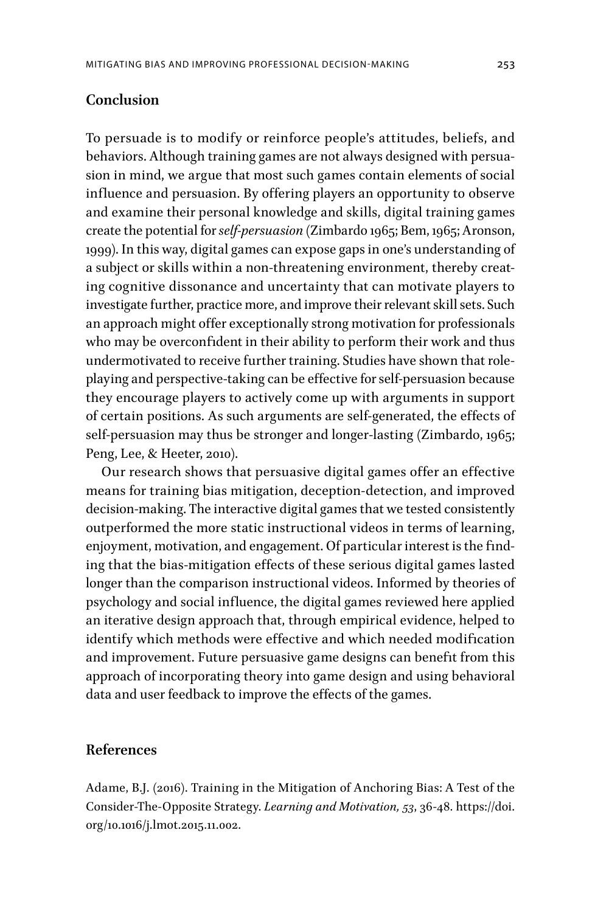## **Conclusion**

To persuade is to modify or reinforce people's attitudes, beliefs, and behaviors. Although training games are not always designed with persuasion in mind, we argue that most such games contain elements of social influence and persuasion. By offering players an opportunity to observe and examine their personal knowledge and skills, digital training games create the potential for *self-persuasion* (Zimbardo 1965; Bem, 1965; Aronson, 1999). In this way, digital games can expose gaps in one's understanding of a subject or skills within a non-threatening environment, thereby creating cognitive dissonance and uncertainty that can motivate players to investigate further, practice more, and improve their relevant skill sets. Such an approach might offer exceptionally strong motivation for professionals who may be overconfident in their ability to perform their work and thus undermotivated to receive further training. Studies have shown that roleplaying and perspective-taking can be effective for self-persuasion because they encourage players to actively come up with arguments in support of certain positions. As such arguments are self-generated, the effects of self-persuasion may thus be stronger and longer-lasting (Zimbardo, 1965; Peng, Lee, & Heeter, 2010).

Our research shows that persuasive digital games offer an effective means for training bias mitigation, deception-detection, and improved decision-making. The interactive digital games that we tested consistently outperformed the more static instructional videos in terms of learning, enjoyment, motivation, and engagement. Of particular interest is the finding that the bias-mitigation effects of these serious digital games lasted longer than the comparison instructional videos. Informed by theories of psychology and social influence, the digital games reviewed here applied an iterative design approach that, through empirical evidence, helped to identify which methods were effective and which needed modification and improvement. Future persuasive game designs can benefit from this approach of incorporating theory into game design and using behavioral data and user feedback to improve the effects of the games.

## **References**

Adame, B.J. (2016). Training in the Mitigation of Anchoring Bias: A Test of the Consider-The-Opposite Strategy. *Learning and Motivation, 53*, 36-48. https://doi. org/10.1016/j.lmot.2015.11.002.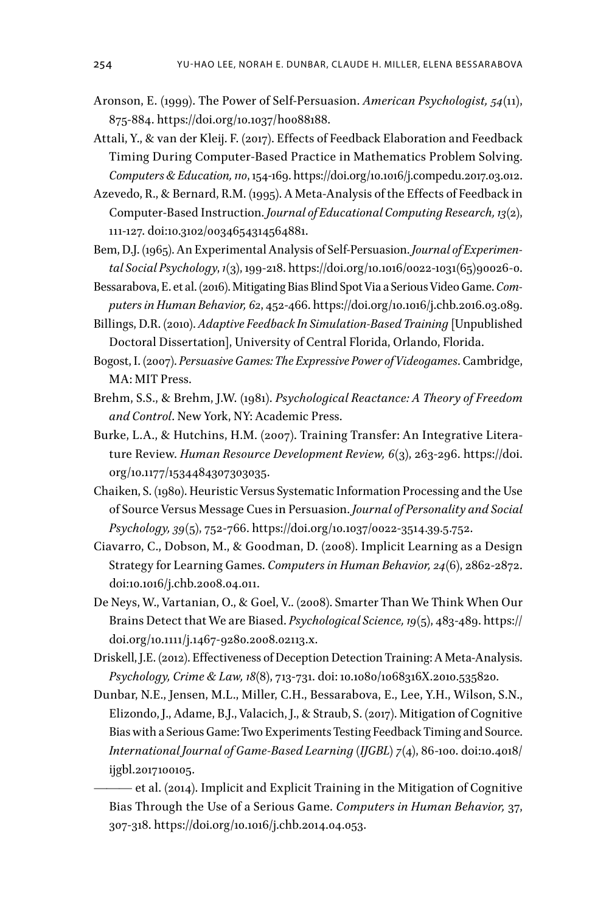- Aronson, E. (1999). The Power of Self-Persuasion. *American Psychologist, 54*(11), 875-884. https://doi.org/10.1037/h0088188.
- Attali, Y., & van der Kleij. F. (2017). Effects of Feedback Elaboration and Feedback Timing During Computer-Based Practice in Mathematics Problem Solving. *Computers & Education, 110*, 154-169. https://doi.org/10.1016/j.compedu.2017.03.012.
- Azevedo, R., & Bernard, R.M. (1995). A Meta-Analysis of the Effects of Feedback in Computer-Based Instruction. *Journal of Educational Computing Research, 13*(2), 111-127. doi:10.3102/0034654314564881.
- Bem, D.J. (1965). An Experimental Analysis of Self-Persuasion. *Journal of Experimental Social Psychology*, *1*(3), 199-218. https://doi.org/10.1016/0022-1031(65)90026-0.
- Bessarabova, E. et al. (2016). Mitigating Bias Blind Spot Via a Serious Video Game. *Computers in Human Behavior, 62*, 452-466. https://doi.org/10.1016/j.chb.2016.03.089.
- Billings, D.R. (2010). *Adaptive Feedback In Simulation-Based Training* [Unpublished Doctoral Dissertation], University of Central Florida, Orlando, Florida.
- Bogost, I. (2007). *Persuasive Games: The Expressive Power of Videogames*. Cambridge, MA: MIT Press.
- Brehm, S.S., & Brehm, J.W. (1981). *Psychological Reactance: A Theory of Freedom and Control*. New York, NY: Academic Press.
- Burke, L.A., & Hutchins, H.M. (2007). Training Transfer: An Integrative Literature Review. *Human Resource Development Review, 6*(3), 263-296. https://doi. org/10.1177/1534484307303035.
- Chaiken, S. (1980). Heuristic Versus Systematic Information Processing and the Use of Source Versus Message Cues in Persuasion. *Journal of Personality and Social Psychology, 39*(5), 752-766. https://doi.org/10.1037/0022-3514.39.5.752.
- Ciavarro, C., Dobson, M., & Goodman, D. (2008). Implicit Learning as a Design Strategy for Learning Games. *Computers in Human Behavior, 24*(6), 2862-2872. doi:10.1016/j.chb.2008.04.011.
- De Neys, W., Vartanian, O., & Goel, V.. (2008). Smarter Than We Think When Our Brains Detect that We are Biased. *Psychological Science, 19*(5), 483-489. https:// doi.org/10.1111/j.1467-9280.2008.02113.x.
- Driskell, J.E. (2012). Effectiveness of Deception Detection Training: A Meta-Analysis. *Psychology, Crime & Law, 18*(8), 713-731. doi: 10.1080/1068316X.2010.535820.
- Dunbar, N.E., Jensen, M.L., Miller, C.H., Bessarabova, E., Lee, Y.H., Wilson, S.N., Elizondo, J., Adame, B.J., Valacich, J., & Straub, S. (2017). Mitigation of Cognitive Bias with a Serious Game: Two Experiments Testing Feedback Timing and Source. *International Journal of Game-Based Learning (IJGBL) 7*(4), 86-100. doi:10.4018/ ijgbl.2017100105.
	- ——— et al. (2014). Implicit and Explicit Training in the Mitigation of Cognitive Bias Through the Use of a Serious Game. *Computers in Human Behavior,* 37, 307-318. https://doi.org/10.1016/j.chb.2014.04.053.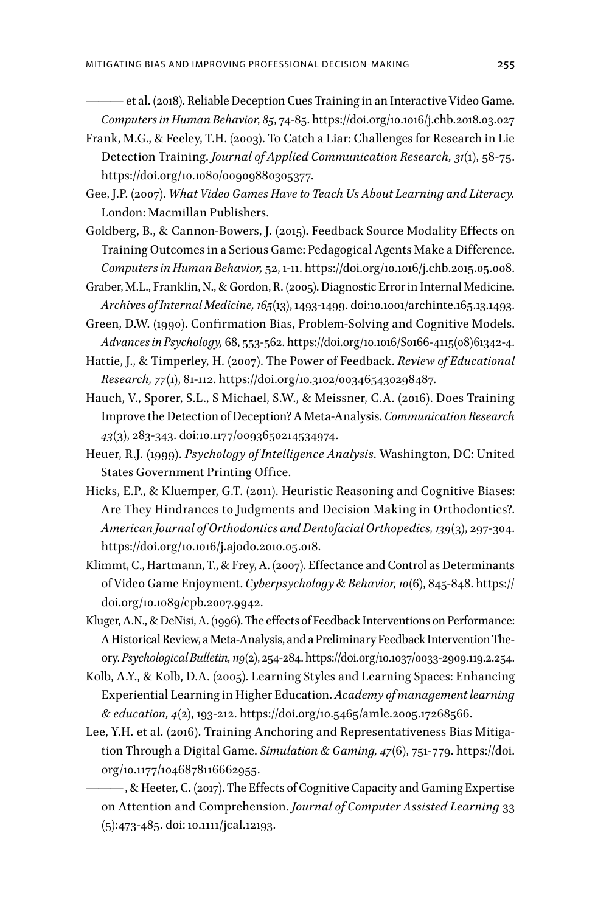——— et al. (2018). Reliable Deception Cues Training in an Interactive Video Game. *Computers in Human Behavior*, *85*, 74-85. https://doi.org/10.1016/j.chb.2018.03.027

- Frank, M.G., & Feeley, T.H. (2003). To Catch a Liar: Challenges for Research in Lie Detection Training. *Journal of Applied Communication Research, 31*(1), 58-75. https://doi.org/10.1080/00909880305377.
- Gee, J.P. (2007). *What Video Games Have to Teach Us About Learning and Literacy.*  London: Macmillan Publishers.
- Goldberg, B., & Cannon-Bowers, J. (2015). Feedback Source Modality Effects on Training Outcomes in a Serious Game: Pedagogical Agents Make a Difference. *Computers in Human Behavior,* 52, 1-11. https://doi.org/10.1016/j.chb.2015.05.008.
- Graber, M.L., Franklin, N., & Gordon, R. (2005). Diagnostic Error in Internal Medicine. *Archives of Internal Medicine, 165*(13), 1493-1499. doi:10.1001/archinte.165.13.1493.
- Green, D.W. (1990). Confirmation Bias, Problem-Solving and Cognitive Models. *Advances in Psychology,* 68, 553-562. https://doi.org/10.1016/S0166-4115(08)61342-4.
- Hattie, J., & Timperley, H. (2007). The Power of Feedback. *Review of Educational Research, 77*(1), 81-112. https://doi.org/10.3102/003465430298487.
- Hauch, V., Sporer, S.L., S Michael, S.W., & Meissner, C.A. (2016). Does Training Improve the Detection of Deception? A Meta-Analysis. *Communication Research 43*(3), 283-343. doi:10.1177/0093650214534974.
- Heuer, R.J. (1999). *Psychology of Intelligence Analysis*. Washington, DC: United States Government Printing Office.
- Hicks, E.P., & Kluemper, G.T. (2011). Heuristic Reasoning and Cognitive Biases: Are They Hindrances to Judgments and Decision Making in Orthodontics?. *American Journal of Orthodontics and Dentofacial Orthopedics, 139*(3), 297-304. https://doi.org/10.1016/j.ajodo.2010.05.018.
- Klimmt, C., Hartmann, T., & Frey, A. (2007). Effectance and Control as Determinants of Video Game Enjoyment. *Cyberpsychology & Behavior, 10*(6), 845-848. https:// doi.org/10.1089/cpb.2007.9942.
- Kluger, A.N., & DeNisi, A. (1996). The effects of Feedback Interventions on Performance: A Historical Review, a Meta-Analysis, and a Preliminary Feedback Intervention Theory. *Psychological Bulletin, 119*(2), 254-284. https://doi.org/10.1037/0033-2909.119.2.254.
- Kolb, A.Y., & Kolb, D.A. (2005). Learning Styles and Learning Spaces: Enhancing Experiential Learning in Higher Education. *Academy of management learning & education, 4*(2), 193-212. https://doi.org/10.5465/amle.2005.17268566.
- Lee, Y.H. et al. (2016). Training Anchoring and Representativeness Bias Mitigation Through a Digital Game. *Simulation & Gaming, 47*(6), 751-779. https://doi. org/10.1177/1046878116662955.

———, & Heeter, C. (2017). The Effects of Cognitive Capacity and Gaming Expertise on Attention and Comprehension. *Journal of Computer Assisted Learning* 33 (5):473-485. doi: 10.1111/jcal.12193.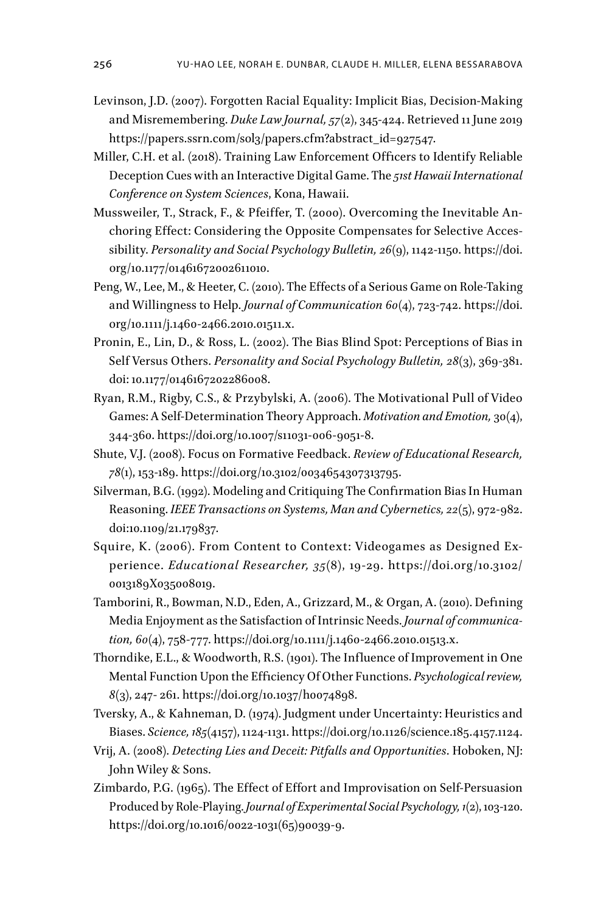- Levinson, J.D. (2007). Forgotten Racial Equality: Implicit Bias, Decision-Making and Misremembering. *Duke Law Journal, 57*(2), 345-424. Retrieved 11 June 2019 https://papers.ssrn.com/sol3/papers.cfm?abstract\_id=927547.
- Miller, C.H. et al. (2018). Training Law Enforcement Officers to Identify Reliable Deception Cues with an Interactive Digital Game. The *51st Hawaii International Conference on System Sciences*, Kona, Hawaii.
- Mussweiler, T., Strack, F., & Pfeiffer, T. (2000). Overcoming the Inevitable Anchoring Effect: Considering the Opposite Compensates for Selective Accessibility. *Personality and Social Psychology Bulletin, 26*(9), 1142-1150. https://doi. org/10.1177/01461672002611010.
- Peng, W., Lee, M., & Heeter, C. (2010). The Effects of a Serious Game on Role‐Taking and Willingness to Help. *Journal of Communication 60*(4), 723-742. https://doi. org/10.1111/j.1460-2466.2010.01511.x.
- Pronin, E., Lin, D., & Ross, L. (2002). The Bias Blind Spot: Perceptions of Bias in Self Versus Others. *Personality and Social Psychology Bulletin, 28*(3), 369-381. doi: 10.1177/0146167202286008.
- Ryan, R.M., Rigby, C.S., & Przybylski, A. (2006). The Motivational Pull of Video Games: A Self-Determination Theory Approach. *Motivation and Emotion,* 30(4), 344-360. https://doi.org/10.1007/s11031-006-9051-8.
- Shute, V.J. (2008). Focus on Formative Feedback. *Review of Educational Research, 78*(1), 153-189. https://doi.org/10.3102/0034654307313795.
- Silverman, B.G. (1992). Modeling and Critiquing The Confirmation Bias In Human Reasoning. *IEEE Transactions on Systems, Man and Cybernetics, 22*(5), 972-982. doi:10.1109/21.179837.
- Squire, K. (2006). From Content to Context: Videogames as Designed Experience. *Educational Researcher, 35*(8), 19-29. https://doi.org/10.3102/ 0013189X035008019.
- Tamborini, R., Bowman, N.D., Eden, A., Grizzard, M., & Organ, A. (2010). Defining Media Enjoyment as the Satisfaction of Intrinsic Needs. *Journal of communication, 60*(4), 758-777. https://doi.org/10.1111/j.1460-2466.2010.01513.x.
- Thorndike, E.L., & Woodworth, R.S. (1901). The Influence of Improvement in One Mental Function Upon the Efficiency Of Other Functions. *Psychological review, 8*(3), 247- 261. https://doi.org/10.1037/h0074898.
- Tversky, A., & Kahneman, D. (1974). Judgment under Uncertainty: Heuristics and Biases. *Science, 185*(4157), 1124-1131. https://doi.org/10.1126/science.185.4157.1124.
- Vrij, A. (2008). *Detecting Lies and Deceit: Pitfalls and Opportunities*. Hoboken, NJ: John Wiley & Sons.
- Zimbardo, P.G. (1965). The Effect of Effort and Improvisation on Self-Persuasion Produced by Role-Playing. *Journal of Experimental Social Psychology, 1*(2), 103-120. https://doi.org/10.1016/0022-1031(65)90039-9.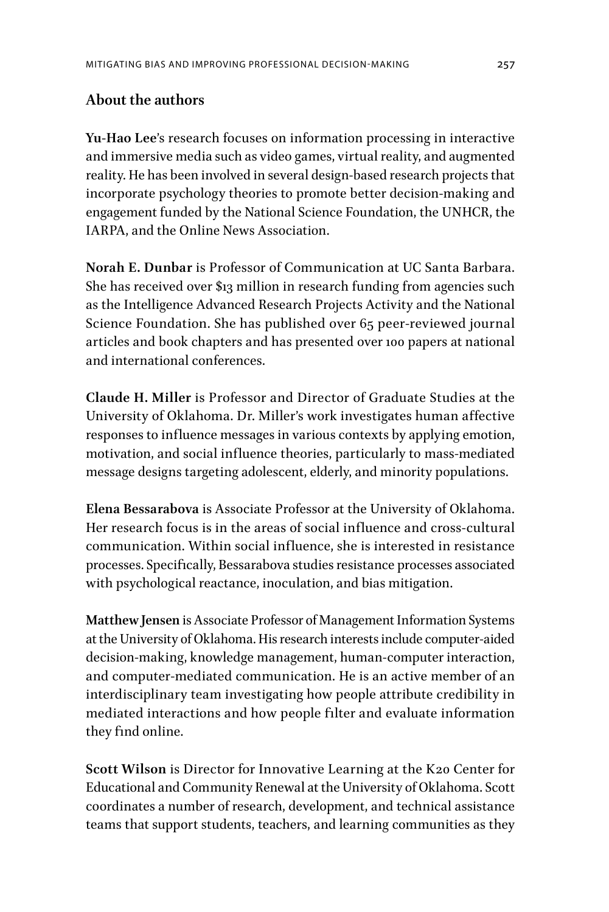## **About the authors**

**Yu-Hao Lee**'s research focuses on information processing in interactive and immersive media such as video games, virtual reality, and augmented reality. He has been involved in several design-based research projects that incorporate psychology theories to promote better decision-making and engagement funded by the National Science Foundation, the UNHCR, the IARPA, and the Online News Association.

**Norah E. Dunbar** is Professor of Communication at UC Santa Barbara. She has received over \$13 million in research funding from agencies such as the Intelligence Advanced Research Projects Activity and the National Science Foundation. She has published over 65 peer-reviewed journal articles and book chapters and has presented over 100 papers at national and international conferences.

**Claude H. Miller** is Professor and Director of Graduate Studies at the University of Oklahoma. Dr. Miller's work investigates human affective responses to influence messages in various contexts by applying emotion, motivation, and social influence theories, particularly to mass-mediated message designs targeting adolescent, elderly, and minority populations.

**Elena Bessarabova** is Associate Professor at the University of Oklahoma. Her research focus is in the areas of social influence and cross-cultural communication. Within social influence, she is interested in resistance processes. Specifically, Bessarabova studies resistance processes associated with psychological reactance, inoculation, and bias mitigation.

**Matthew Jensen** is Associate Professor of Management Information Systems at the University of Oklahoma. His research interests include computer-aided decision-making, knowledge management, human-computer interaction, and computer-mediated communication. He is an active member of an interdisciplinary team investigating how people attribute credibility in mediated interactions and how people filter and evaluate information they find online.

**Scott Wilson** is Director for Innovative Learning at the K20 Center for Educational and Community Renewal at the University of Oklahoma. Scott coordinates a number of research, development, and technical assistance teams that support students, teachers, and learning communities as they